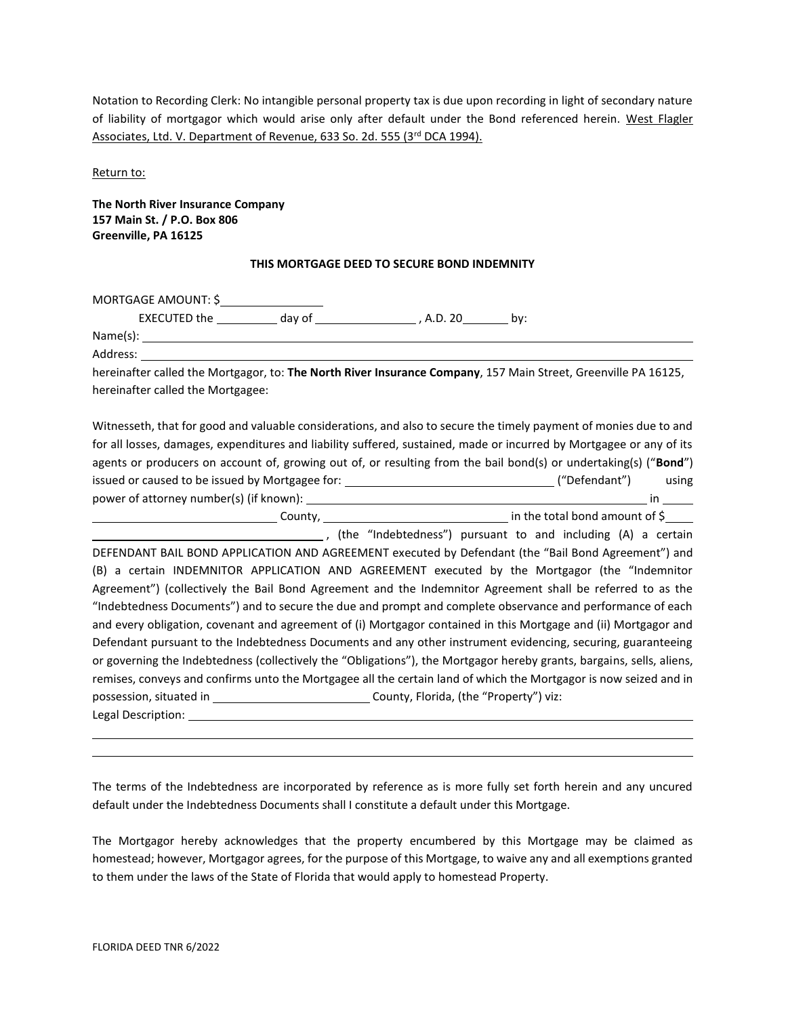Notation to Recording Clerk: No intangible personal property tax is due upon recording in light of secondary nature of liability of mortgagor which would arise only after default under the Bond referenced herein. West Flagler Associates, Ltd. V. Department of Revenue, 633 So. 2d. 555 (3<sup>rd</sup> DCA 1994).

Return to:

**The North River Insurance Company 157 Main St. / P.O. Box 806 Greenville, PA 16125**

## **THIS MORTGAGE DEED TO SECURE BOND INDEMNITY**

MORTGAGE AMOUNT: \$

EXECUTED the  $\_\_\_\_\_\$  day of  $\_\_\_\_\_\_\$ , A.D. 20 by:

Name(s): Address:

hereinafter called the Mortgagor, to: **The North River Insurance Company**, 157 Main Street, Greenville PA 16125, hereinafter called the Mortgagee:

Witnesseth, that for good and valuable considerations, and also to secure the timely payment of monies due to and for all losses, damages, expenditures and liability suffered, sustained, made or incurred by Mortgagee or any of its agents or producers on account of, growing out of, or resulting from the bail bond(s) or undertaking(s) ("**Bond**") issued or caused to be issued by Mortgagee for: ("Defendant") using power of attorney number(s) (if known): in County, the total bond amount of \$ , (the "Indebtedness") pursuant to and including (A) a certain DEFENDANT BAIL BOND APPLICATION AND AGREEMENT executed by Defendant (the "Bail Bond Agreement") and (B) a certain INDEMNITOR APPLICATION AND AGREEMENT executed by the Mortgagor (the "Indemnitor Agreement") (collectively the Bail Bond Agreement and the Indemnitor Agreement shall be referred to as the "Indebtedness Documents") and to secure the due and prompt and complete observance and performance of each and every obligation, covenant and agreement of (i) Mortgagor contained in this Mortgage and (ii) Mortgagor and Defendant pursuant to the Indebtedness Documents and any other instrument evidencing, securing, guaranteeing or governing the Indebtedness (collectively the "Obligations"), the Mortgagor hereby grants, bargains, sells, aliens, remises, conveys and confirms unto the Mortgagee all the certain land of which the Mortgagor is now seized and in possession, situated in \_\_\_\_\_\_\_\_\_\_\_\_\_\_\_\_\_\_\_\_\_\_\_\_\_\_\_\_\_\_\_\_\_\_County, Florida, (the "Property") viz: Legal Description:

The terms of the Indebtedness are incorporated by reference as is more fully set forth herein and any uncured default under the Indebtedness Documents shall I constitute a default under this Mortgage.

The Mortgagor hereby acknowledges that the property encumbered by this Mortgage may be claimed as homestead; however, Mortgagor agrees, for the purpose of this Mortgage, to waive any and all exemptions granted to them under the laws of the State of Florida that would apply to homestead Property.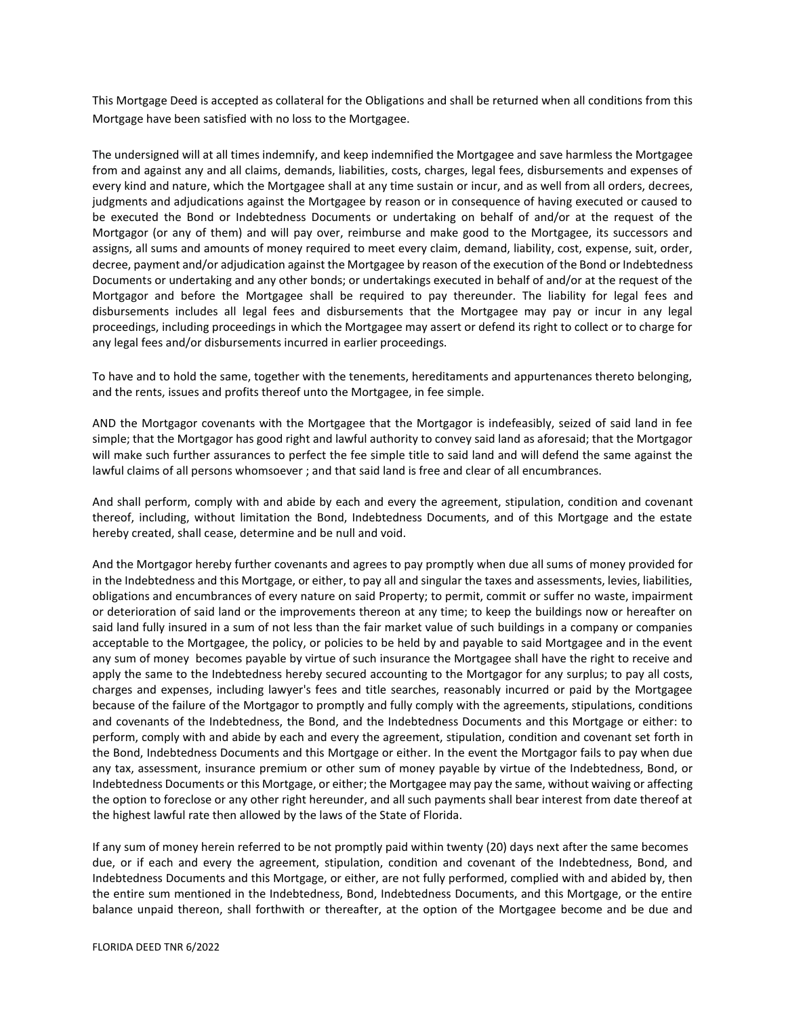This Mortgage Deed is accepted as collateral for the Obligations and shall be returned when all conditions from this Mortgage have been satisfied with no loss to the Mortgagee.

The undersigned will at all times indemnify, and keep indemnified the Mortgagee and save harmless the Mortgagee from and against any and all claims, demands, liabilities, costs, charges, legal fees, disbursements and expenses of every kind and nature, which the Mortgagee shall at any time sustain or incur, and as well from all orders, decrees, judgments and adjudications against the Mortgagee by reason or in consequence of having executed or caused to be executed the Bond or Indebtedness Documents or undertaking on behalf of and/or at the request of the Mortgagor (or any of them) and will pay over, reimburse and make good to the Mortgagee, its successors and assigns, all sums and amounts of money required to meet every claim, demand, liability, cost, expense, suit, order, decree, payment and/or adjudication against the Mortgagee by reason of the execution of the Bond or Indebtedness Documents or undertaking and any other bonds; or undertakings executed in behalf of and/or at the request of the Mortgagor and before the Mortgagee shall be required to pay thereunder. The liability for legal fees and disbursements includes all legal fees and disbursements that the Mortgagee may pay or incur in any legal proceedings, including proceedings in which the Mortgagee may assert or defend its right to collect or to charge for any legal fees and/or disbursements incurred in earlier proceedings.

To have and to hold the same, together with the tenements, hereditaments and appurtenances thereto belonging, and the rents, issues and profits thereof unto the Mortgagee, in fee simple.

AND the Mortgagor covenants with the Mortgagee that the Mortgagor is indefeasibly, seized of said land in fee simple; that the Mortgagor has good right and lawful authority to convey said land as aforesaid; that the Mortgagor will make such further assurances to perfect the fee simple title to said land and will defend the same against the lawful claims of all persons whomsoever ; and that said land is free and clear of all encumbrances.

And shall perform, comply with and abide by each and every the agreement, stipulation, condition and covenant thereof, including, without limitation the Bond, Indebtedness Documents, and of this Mortgage and the estate hereby created, shall cease, determine and be null and void.

And the Mortgagor hereby further covenants and agrees to pay promptly when due all sums of money provided for in the Indebtedness and this Mortgage, or either, to pay all and singular the taxes and assessments, levies, liabilities, obligations and encumbrances of every nature on said Property; to permit, commit or suffer no waste, impairment or deterioration of said land or the improvements thereon at any time; to keep the buildings now or hereafter on said land fully insured in a sum of not less than the fair market value of such buildings in a company or companies acceptable to the Mortgagee, the policy, or policies to be held by and payable to said Mortgagee and in the event any sum of money becomes payable by virtue of such insurance the Mortgagee shall have the right to receive and apply the same to the Indebtedness hereby secured accounting to the Mortgagor for any surplus; to pay all costs, charges and expenses, including lawyer's fees and title searches, reasonably incurred or paid by the Mortgagee because of the failure of the Mortgagor to promptly and fully comply with the agreements, stipulations, conditions and covenants of the Indebtedness, the Bond, and the Indebtedness Documents and this Mortgage or either: to perform, comply with and abide by each and every the agreement, stipulation, condition and covenant set forth in the Bond, Indebtedness Documents and this Mortgage or either. In the event the Mortgagor fails to pay when due any tax, assessment, insurance premium or other sum of money payable by virtue of the Indebtedness, Bond, or Indebtedness Documents or this Mortgage, or either; the Mortgagee may pay the same, without waiving or affecting the option to foreclose or any other right hereunder, and all such payments shall bear interest from date thereof at the highest lawful rate then allowed by the laws of the State of Florida.

If any sum of money herein referred to be not promptly paid within twenty (20) days next after the same becomes due, or if each and every the agreement, stipulation, condition and covenant of the Indebtedness, Bond, and Indebtedness Documents and this Mortgage, or either, are not fully performed, complied with and abided by, then the entire sum mentioned in the Indebtedness, Bond, Indebtedness Documents, and this Mortgage, or the entire balance unpaid thereon, shall forthwith or thereafter, at the option of the Mortgagee become and be due and